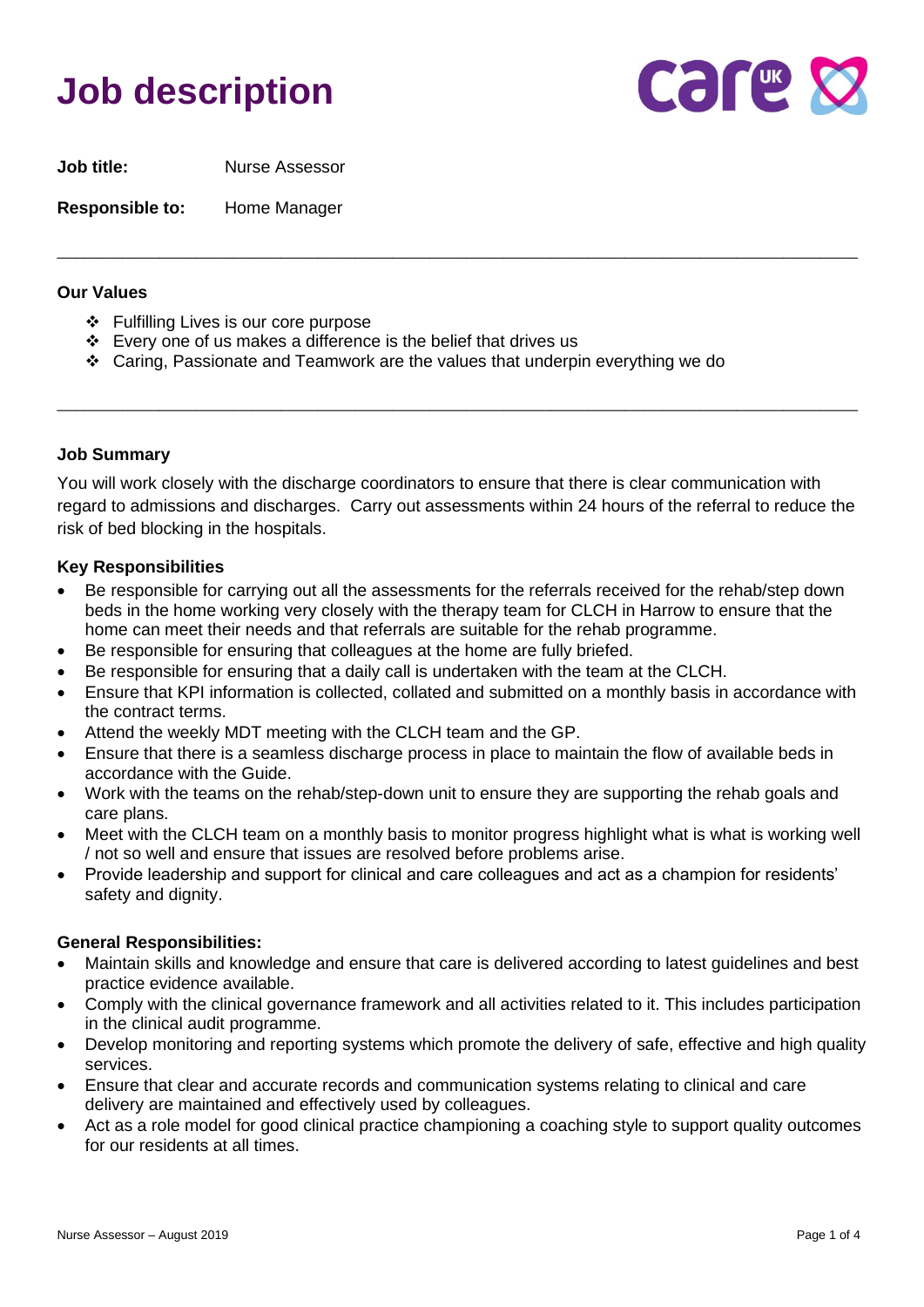# **Job description**



**Job title:** Nurse Assessor

**Responsible to:** Home Manager

### **Our Values**

- ❖ Fulfilling Lives is our core purpose
- ❖ Every one of us makes a difference is the belief that drives us
- ❖ Caring, Passionate and Teamwork are the values that underpin everything we do

## **Job Summary**

You will work closely with the discharge coordinators to ensure that there is clear communication with regard to admissions and discharges. Carry out assessments within 24 hours of the referral to reduce the risk of bed blocking in the hospitals.

\_\_\_\_\_\_\_\_\_\_\_\_\_\_\_\_\_\_\_\_\_\_\_\_\_\_\_\_\_\_\_\_\_\_\_\_\_\_\_\_\_\_\_\_\_\_\_\_\_\_\_\_\_\_\_\_\_\_\_\_\_\_\_\_\_\_\_\_\_\_\_\_\_\_\_\_\_\_\_\_\_\_\_\_\_\_

\_\_\_\_\_\_\_\_\_\_\_\_\_\_\_\_\_\_\_\_\_\_\_\_\_\_\_\_\_\_\_\_\_\_\_\_\_\_\_\_\_\_\_\_\_\_\_\_\_\_\_\_\_\_\_\_\_\_\_\_\_\_\_\_\_\_\_\_\_\_\_\_\_\_\_\_\_\_\_\_\_\_\_\_\_\_

## **Key Responsibilities**

- Be responsible for carrying out all the assessments for the referrals received for the rehab/step down beds in the home working very closely with the therapy team for CLCH in Harrow to ensure that the home can meet their needs and that referrals are suitable for the rehab programme.
- Be responsible for ensuring that colleagues at the home are fully briefed.
- Be responsible for ensuring that a daily call is undertaken with the team at the CLCH.
- Ensure that KPI information is collected, collated and submitted on a monthly basis in accordance with the contract terms.
- Attend the weekly MDT meeting with the CLCH team and the GP.
- Ensure that there is a seamless discharge process in place to maintain the flow of available beds in accordance with the Guide.
- Work with the teams on the rehab/step-down unit to ensure they are supporting the rehab goals and care plans.
- Meet with the CLCH team on a monthly basis to monitor progress highlight what is what is working well / not so well and ensure that issues are resolved before problems arise.
- Provide leadership and support for clinical and care colleagues and act as a champion for residents' safety and dignity.

### **General Responsibilities:**

- Maintain skills and knowledge and ensure that care is delivered according to latest guidelines and best practice evidence available.
- Comply with the clinical governance framework and all activities related to it. This includes participation in the clinical audit programme.
- Develop monitoring and reporting systems which promote the delivery of safe, effective and high quality services.
- Ensure that clear and accurate records and communication systems relating to clinical and care delivery are maintained and effectively used by colleagues.
- Act as a role model for good clinical practice championing a coaching style to support quality outcomes for our residents at all times.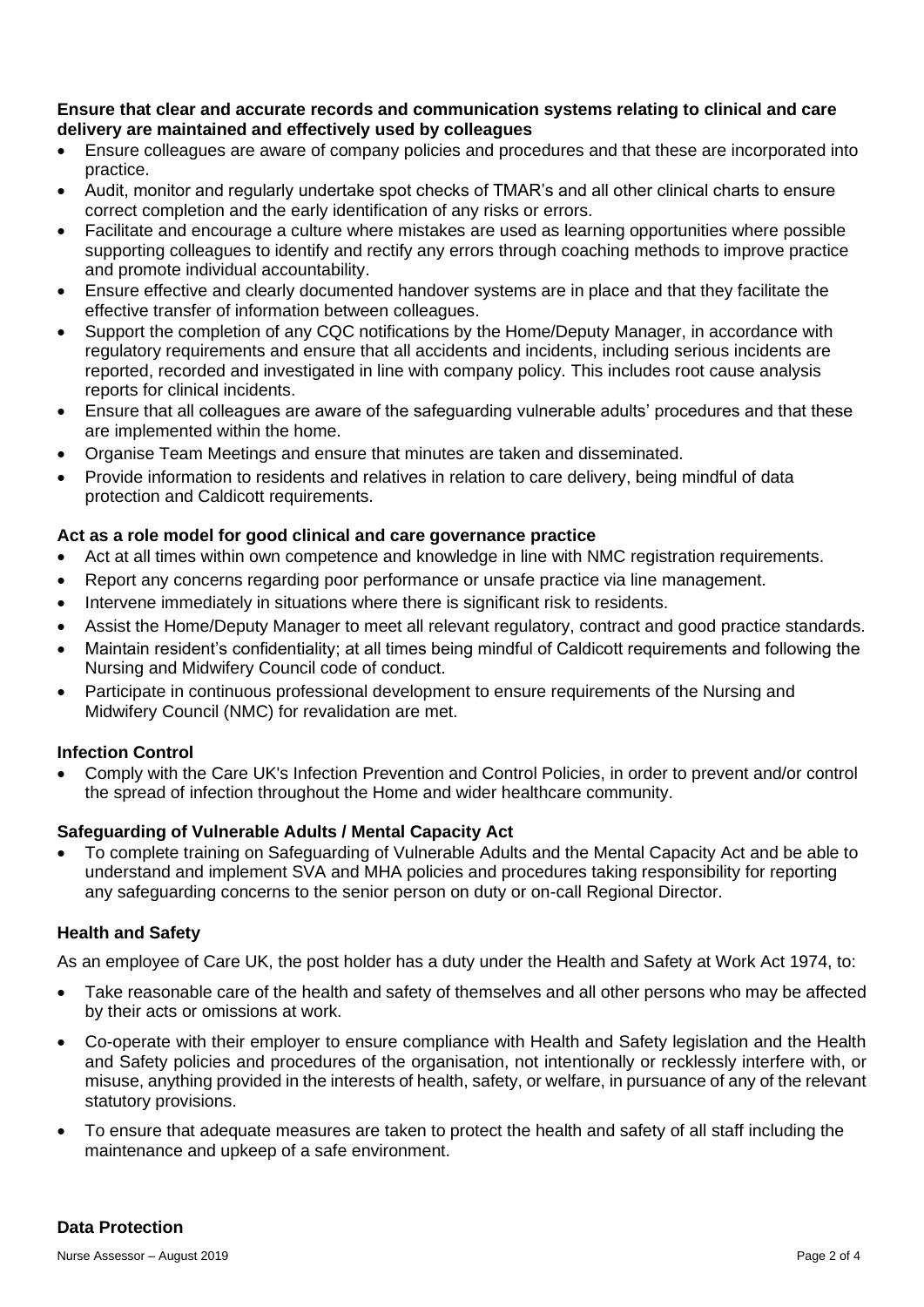## **Ensure that clear and accurate records and communication systems relating to clinical and care delivery are maintained and effectively used by colleagues**

- Ensure colleagues are aware of company policies and procedures and that these are incorporated into practice.
- Audit, monitor and regularly undertake spot checks of TMAR's and all other clinical charts to ensure correct completion and the early identification of any risks or errors.
- Facilitate and encourage a culture where mistakes are used as learning opportunities where possible supporting colleagues to identify and rectify any errors through coaching methods to improve practice and promote individual accountability.
- Ensure effective and clearly documented handover systems are in place and that they facilitate the effective transfer of information between colleagues.
- Support the completion of any CQC notifications by the Home/Deputy Manager, in accordance with regulatory requirements and ensure that all accidents and incidents, including serious incidents are reported, recorded and investigated in line with company policy. This includes root cause analysis reports for clinical incidents.
- Ensure that all colleagues are aware of the safeguarding vulnerable adults' procedures and that these are implemented within the home.
- Organise Team Meetings and ensure that minutes are taken and disseminated.
- Provide information to residents and relatives in relation to care delivery, being mindful of data protection and Caldicott requirements.

# **Act as a role model for good clinical and care governance practice**

- Act at all times within own competence and knowledge in line with NMC registration requirements.
- Report any concerns regarding poor performance or unsafe practice via line management.
- Intervene immediately in situations where there is significant risk to residents.
- Assist the Home/Deputy Manager to meet all relevant regulatory, contract and good practice standards.
- Maintain resident's confidentiality; at all times being mindful of Caldicott requirements and following the Nursing and Midwifery Council code of conduct.
- Participate in continuous professional development to ensure requirements of the Nursing and Midwifery Council (NMC) for revalidation are met.

## **Infection Control**

• Comply with the Care UK's Infection Prevention and Control Policies, in order to prevent and/or control the spread of infection throughout the Home and wider healthcare community.

## **Safeguarding of Vulnerable Adults / Mental Capacity Act**

• To complete training on Safeguarding of Vulnerable Adults and the Mental Capacity Act and be able to understand and implement SVA and MHA policies and procedures taking responsibility for reporting any safeguarding concerns to the senior person on duty or on-call Regional Director.

## **Health and Safety**

As an employee of Care UK, the post holder has a duty under the Health and Safety at Work Act 1974, to:

- Take reasonable care of the health and safety of themselves and all other persons who may be affected by their acts or omissions at work.
- Co-operate with their employer to ensure compliance with Health and Safety legislation and the Health and Safety policies and procedures of the organisation, not intentionally or recklessly interfere with, or misuse, anything provided in the interests of health, safety, or welfare, in pursuance of any of the relevant statutory provisions.
- To ensure that adequate measures are taken to protect the health and safety of all staff including the maintenance and upkeep of a safe environment.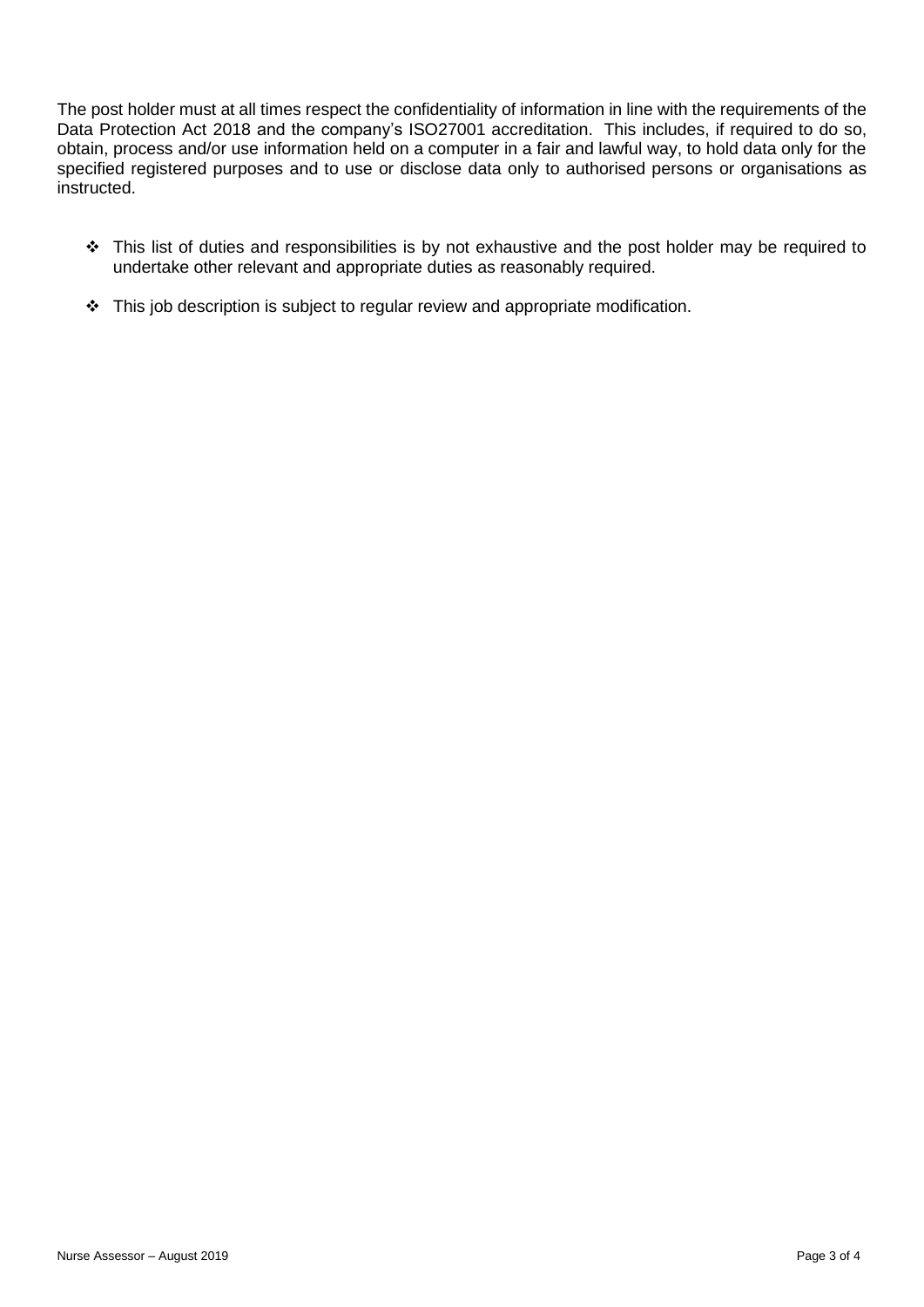The post holder must at all times respect the confidentiality of information in line with the requirements of the Data Protection Act 2018 and the company's ISO27001 accreditation. This includes, if required to do so, obtain, process and/or use information held on a computer in a fair and lawful way, to hold data only for the specified registered purposes and to use or disclose data only to authorised persons or organisations as instructed.

- ❖ This list of duties and responsibilities is by not exhaustive and the post holder may be required to undertake other relevant and appropriate duties as reasonably required.
- ❖ This job description is subject to regular review and appropriate modification.